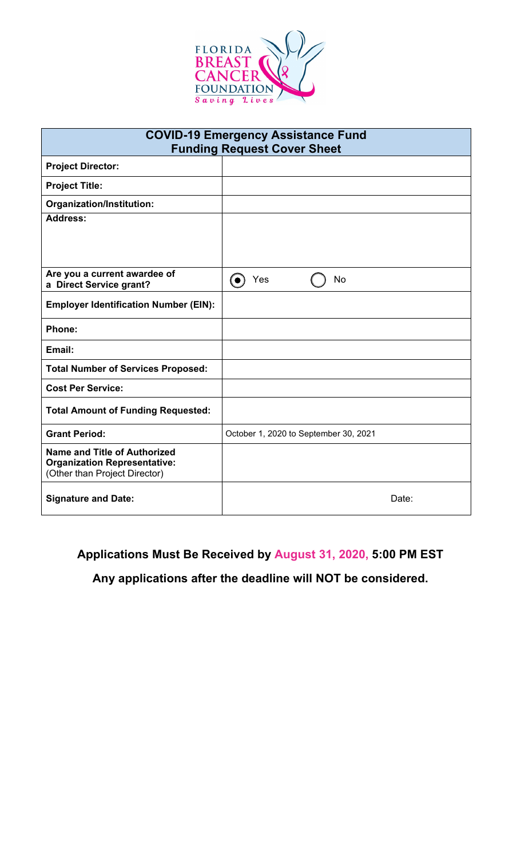

| <b>COVID-19 Emergency Assistance Fund</b><br><b>Funding Request Cover Sheet</b>                             |                                       |  |  |  |
|-------------------------------------------------------------------------------------------------------------|---------------------------------------|--|--|--|
| <b>Project Director:</b>                                                                                    |                                       |  |  |  |
| <b>Project Title:</b>                                                                                       |                                       |  |  |  |
| Organization/Institution:                                                                                   |                                       |  |  |  |
| <b>Address:</b>                                                                                             |                                       |  |  |  |
|                                                                                                             |                                       |  |  |  |
| Are you a current awardee of<br>a Direct Service grant?                                                     | Yes<br>No<br>(●)                      |  |  |  |
| <b>Employer Identification Number (EIN):</b>                                                                |                                       |  |  |  |
| <b>Phone:</b>                                                                                               |                                       |  |  |  |
| Email:                                                                                                      |                                       |  |  |  |
| <b>Total Number of Services Proposed:</b>                                                                   |                                       |  |  |  |
| <b>Cost Per Service:</b>                                                                                    |                                       |  |  |  |
| <b>Total Amount of Funding Requested:</b>                                                                   |                                       |  |  |  |
| <b>Grant Period:</b>                                                                                        | October 1, 2020 to September 30, 2021 |  |  |  |
| <b>Name and Title of Authorized</b><br><b>Organization Representative:</b><br>(Other than Project Director) |                                       |  |  |  |
| <b>Signature and Date:</b>                                                                                  | Date:                                 |  |  |  |

## **Applications Must Be Received by August 31, 2020, 5:00 PM EST**

**Any applications after the deadline will NOT be considered.**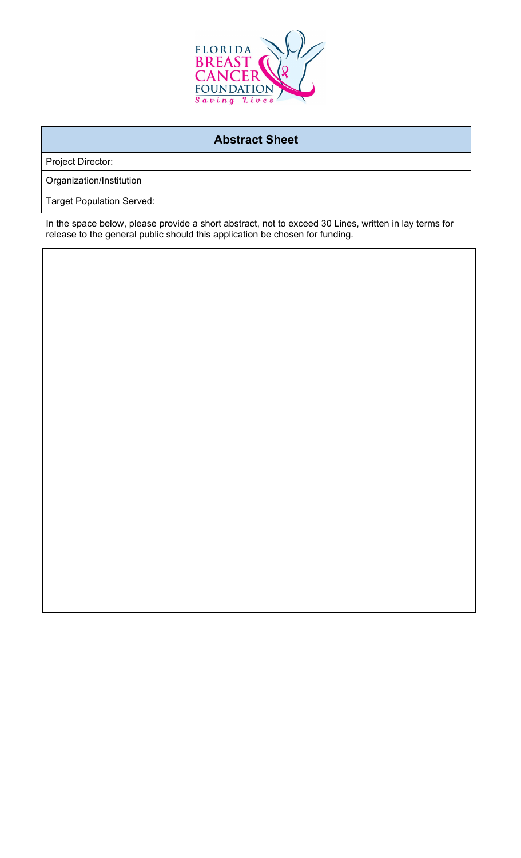

| <b>Abstract Sheet</b>            |  |  |  |  |
|----------------------------------|--|--|--|--|
| <b>Project Director:</b>         |  |  |  |  |
| Organization/Institution         |  |  |  |  |
| <b>Target Population Served:</b> |  |  |  |  |

In the space below, please provide a short abstract, not to exceed 30 Lines, written in lay terms for release to the general public should this application be chosen for funding.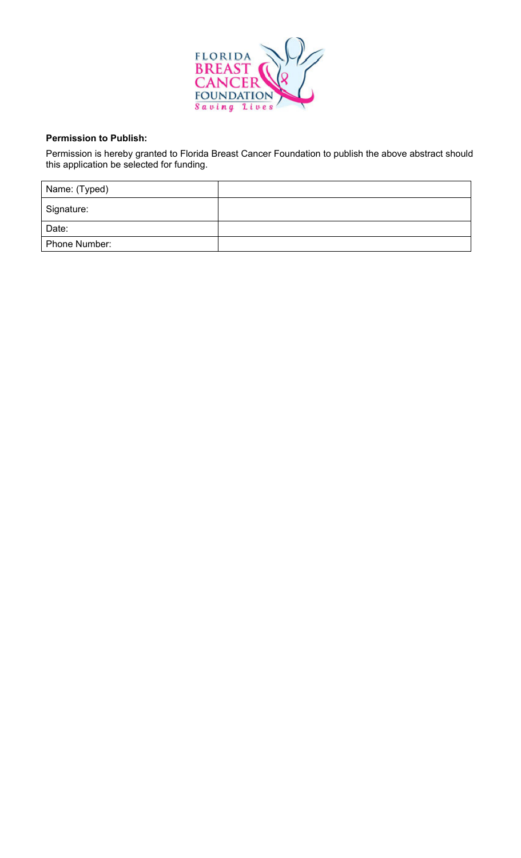

## **Permission to Publish:**

Permission is hereby granted to Florida Breast Cancer Foundation to publish the above abstract should this application be selected for funding.

| Name: (Typed) |  |
|---------------|--|
| Signature:    |  |
| Date:         |  |
| Phone Number: |  |